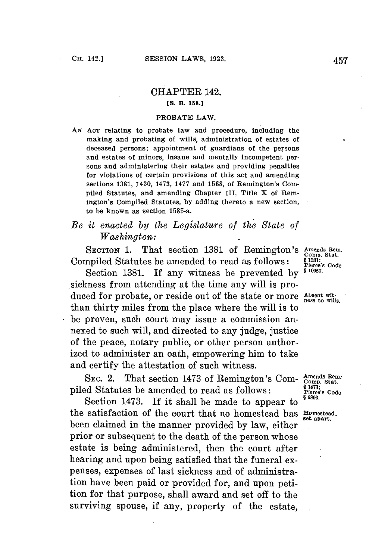## CHAPTER 142. **[S. B. 158.1**

## PROBATE LAW.

**AN ACT** relating to probate law and procedure, including the making and probating of wills, administration of estates of deceased persons; appointment of guardians of the persons and estates of minors, insane and mentally incompetent persons and administering their estates and providing penalties for violations of certain provisions of this act and amending sections **1381,** 1420, 1473, **1477** and **1568,** of Remington's Compiled Statutes, and amending Chapter III, Title X of Remington's Compiled Statutes, **by** adding thereto a new section, to be known as section 1585-a.

## *Be it enacted by the Legislature of the State of Washington:*

SECTION 1. That section 1381 of Remington's Amends Rem.<br>Compiled Statutes be amended to read as follows: **§**<sup>1381</sup>. <sup>§1381</sup>.

Section 1381. If any witness be prevented by  $\frac{6}{5}$  10050. sickness from attending at the time any will is produced for probate, or reside out of the state or more Absent with  $\frac{1}{2}$  ness to wills. than thirty miles from the place where the will is to be proven, such court may issue a commission annexed to such will, and directed to any judge, justice of the peace, notary public, or other person authorized to administer an oath, empowering him to take and certify the attestation of such witness.

SEC. 2. That section 1473 of Remington's Com-  $\frac{\text{Amends Rem.}}{\text{Pied}}$ <br>
piled Statutes be amended to read as follows: <br>  $\frac{\text{B4473}}{\text{Hérecs}}$  Code

Section 1473. If it shall be made to appear to the satisfaction of the court that no homestead has **Homestead**, been claimed in the manner provided **by** law, either **.** prior or subsequent to the death of the person whose estate is being administered, then the court after hearing and upon being satisfied that the funeral expenses, expenses of last sickness and of administration have been paid or provided for, and upon petition for that purpose, shall award and set off to the surviving spouse, if any, property of the estate,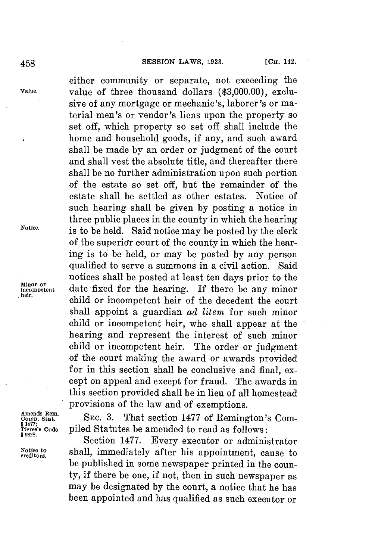either community or separate, not exceeding the **Value.** value of three thousand dollars **(\$3,000.00),** exclusive of any mortgage or mechanic's, laborer's or material men's or vendor's liens upon the property so set off, which property so set off shall include the home and household goods, if any, and such award shall be made **by** an order or judgment of the court and shall vest the absolute title, and thereafter there shall be no further administration upon such portion of the estate so set off, but the remainder of the estate shall be settled as other estates. Notice of such hearing shall be given **by** posting a notice in three public places in the county in which the hearing **Notice.** is to be held. Said notice may **be** posted **by** the clerk of the superior court of the county in which the hearing is to be held, or may be posted **by** any person qualified to serve a summons in a civil action. Said notices shall be posted at least ten days prior to the Minor or date fixed for the hearing. If there be any minor child or incompetent heir of the decedent the court shall appoint a guardian *ad litem* for such minor child or incompetent heir, who shall appear at the hearing and represent the interest of such minor child or incompetent heir. The order or judgment of the court making the award or awards provided for in this section shall be conclusive and final, except on appeal and except for fraud. The awards in this section provided shall be in lieu of all homestead provisions of the law and of exemptions.<br> **Amends Rem.** SEC. 3. That section 1477 of Remine

Amends Rem.<br>Comp. Stat. SEC. 3. That section 1477 of Remington's Com-**EXALLET SOCIET CODE PILED STATE:**<br>Pierce's Code piled Statutes be amended to read as follows:

Section 1477. Every executor or administrator Notice to shall, immediately after his appointment, cause to be published in some newspaper printed in the county, if there be one, if not, then in such newspaper as may be designated **by** the court, a notice that he has been appointed and has qualified as such executor or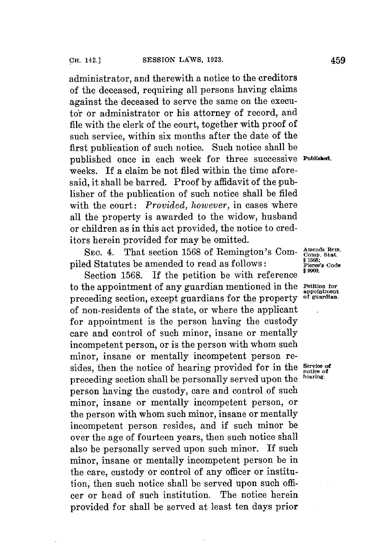administrator, and therewith a notice to the creditors of the deceased, requiring all persons having claims against the deceased to serve the same on the executor or administrator or his attorney of record, and file with the clerk of the court, together with proof of such service, within six months after the date of the first publication of such notice. Such notice shall be published once in each week **for** three successive **urishes.** weeks. If a claim be not filed within the time aforesaid, it shall **be** barred. Proof **by** affidavit of the publisher of the publication of such notice shall be filed with the court: *Provided, however,* in cases where all the property is awarded to the widow, husband or children as in this act provided, the notice to creditors herein provided **for** may be omitted.

SEC. 4. That section 1568 of Remington's Compiled Statutes be amended to read as follows:<br> **Pierce's Code**<br> **Pierce's Code** 

Section **1568. If** the petition be with reference to the appointment of any guardian mentioned in the **Petition for appointment**<br>proceding section except guardians for the property of guardian. preceding section, except guardians for the property of non-residents of the state, or where the applicant for appointment is the person having the custody care and control of such minor, insane or mentally incompetent person, or is the person with whom such minor, insane or mentally incompetent person resides, then the notice of hearing provided for in the service of preceding section shall be personally served upon the person having the custody, care and control of such minor, insane or mentally incompetent person, or the person with whom such minor, insane or mentally incompetent person resides, and if such minor be over the age of fourteen years, then such notice shall also be personally served upon such minor. **If** such minor, insane or mentally incompetent person be in the care, custody or control of any officer or institution, then such notice shall be served upon such officer or head of such institution. The notice herein provided **for** shall be served at least ten days prior

Amends Rem.<br>Comp. Stat.<br>§ 1568;<br>Pierce's Cod<del>e</del>